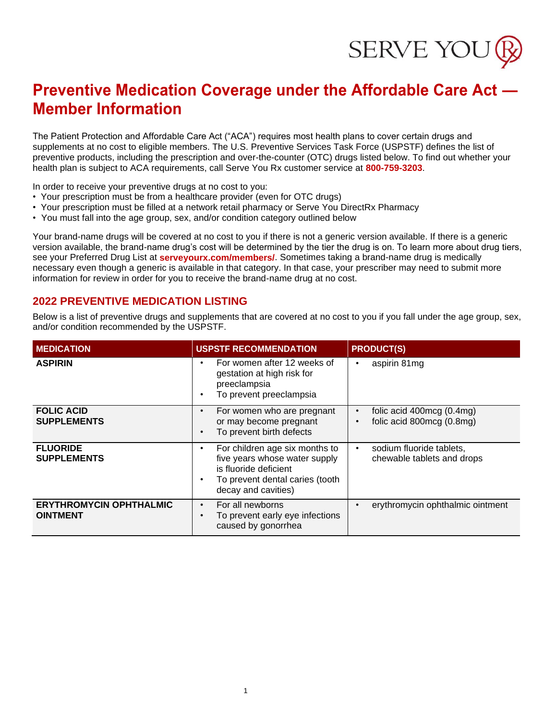# SERVE YOU

## **Preventive Medication Coverage under the Affordable Care Act — Member Information**

The Patient Protection and Affordable Care Act ("ACA") requires most health plans to cover certain drugs and supplements at no cost to eligible members. The U.S. Preventive Services Task Force (USPSTF) defines the list of preventive products, including the prescription and over-the-counter (OTC) drugs listed below. To find out whether your health plan is subject to ACA requirements, call Serve You Rx customer service at **800-759-3203**.

In order to receive your preventive drugs at no cost to you:

- Your prescription must be from a healthcare provider (even for OTC drugs)
- Your prescription must be filled at a network retail pharmacy or Serve You DirectRx Pharmacy
- You must fall into the age group, sex, and/or condition category outlined below

Your brand-name drugs will be covered at no cost to you if there is not a generic version available. If there is a generic version available, the brand-name drug's cost will be determined by the tier the drug is on. To learn more about drug tiers, see your Preferred Drug List at **serveyourx.com/members/**. Sometimes taking a brand-name drug is medically necessary even though a generic is available in that category. In that case, your prescriber may need to submit more information for review in order for you to receive the brand-name drug at no cost.

#### **2022 PREVENTIVE MEDICATION LISTING**

Below is a list of preventive drugs and supplements that are covered at no cost to you if you fall under the age group, sex, and/or condition recommended by the USPSTF.

| <b>MEDICATION</b>                                 | <b>USPSTF RECOMMENDATION</b>                                                                                                                       | <b>PRODUCT(S)</b>                                                   |  |  |
|---------------------------------------------------|----------------------------------------------------------------------------------------------------------------------------------------------------|---------------------------------------------------------------------|--|--|
| <b>ASPIRIN</b>                                    | For women after 12 weeks of<br>gestation at high risk for<br>preeclampsia<br>To prevent preeclampsia                                               | aspirin 81mg                                                        |  |  |
| <b>FOLIC ACID</b><br><b>SUPPLEMENTS</b>           | For women who are pregnant<br>or may become pregnant<br>To prevent birth defects                                                                   | folic acid 400mcg (0.4mg)<br>folic acid 800mcg (0.8mg)              |  |  |
| <b>FLUORIDE</b><br><b>SUPPLEMENTS</b>             | For children age six months to<br>five years whose water supply<br>is fluoride deficient<br>To prevent dental caries (tooth<br>decay and cavities) | sodium fluoride tablets,<br>$\bullet$<br>chewable tablets and drops |  |  |
| <b>ERYTHROMYCIN OPHTHALMIC</b><br><b>OINTMENT</b> | For all newborns<br>$\bullet$<br>To prevent early eye infections<br>caused by gonorrhea                                                            | erythromycin ophthalmic ointment                                    |  |  |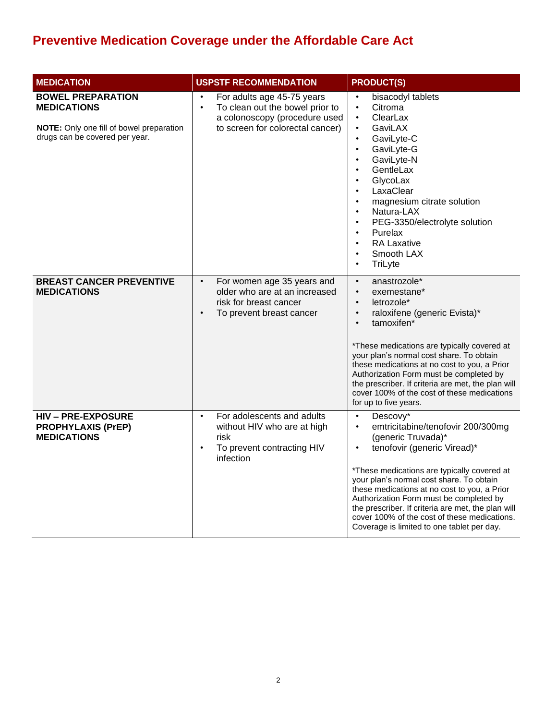| <b>MEDICATION</b>                                                                                                            | <b>USPSTF RECOMMENDATION</b>                                                                                                                                 | <b>PRODUCT(S)</b>                                                                                                                                                                                                                                                                                                                                                                                                                                                                   |  |  |
|------------------------------------------------------------------------------------------------------------------------------|--------------------------------------------------------------------------------------------------------------------------------------------------------------|-------------------------------------------------------------------------------------------------------------------------------------------------------------------------------------------------------------------------------------------------------------------------------------------------------------------------------------------------------------------------------------------------------------------------------------------------------------------------------------|--|--|
| <b>BOWEL PREPARATION</b><br><b>MEDICATIONS</b><br>NOTE: Only one fill of bowel preparation<br>drugs can be covered per year. | For adults age 45-75 years<br>$\bullet$<br>$\bullet$<br>To clean out the bowel prior to<br>a colonoscopy (procedure used<br>to screen for colorectal cancer) | bisacodyl tablets<br>Citroma<br>$\bullet$<br>ClearLax<br>$\bullet$<br>GaviLAX<br>$\bullet$<br>GaviLyte-C<br>$\bullet$<br>GaviLyte-G<br>$\bullet$<br>GaviLyte-N<br>GentleLax<br>$\bullet$<br>GlycoLax<br>$\bullet$<br>LaxaClear<br>magnesium citrate solution<br>$\bullet$<br>Natura-LAX<br>$\bullet$<br>PEG-3350/electrolyte solution<br>$\bullet$<br>Purelax<br>$\bullet$<br><b>RA Laxative</b><br>$\bullet$<br>Smooth LAX<br>TriLyte<br>$\bullet$                                 |  |  |
| <b>BREAST CANCER PREVENTIVE</b><br><b>MEDICATIONS</b>                                                                        | For women age 35 years and<br>$\bullet$<br>older who are at an increased<br>risk for breast cancer<br>To prevent breast cancer<br>$\bullet$                  | anastrozole*<br>$\bullet$<br>exemestane*<br>$\bullet$<br>letrozole*<br>raloxifene (generic Evista)*<br>$\bullet$<br>tamoxifen*<br>$\bullet$<br>*These medications are typically covered at<br>your plan's normal cost share. To obtain<br>these medications at no cost to you, a Prior<br>Authorization Form must be completed by<br>the prescriber. If criteria are met, the plan will<br>cover 100% of the cost of these medications<br>for up to five years.                     |  |  |
| <b>HIV-PRE-EXPOSURE</b><br><b>PROPHYLAXIS (PrEP)</b><br><b>MEDICATIONS</b>                                                   | For adolescents and adults<br>$\bullet$<br>without HIV who are at high<br>risk<br>To prevent contracting HIV<br>$\bullet$<br>infection                       | Descovy*<br>$\bullet$<br>emtricitabine/tenofovir 200/300mg<br>$\bullet$<br>(generic Truvada)*<br>tenofovir (generic Viread)*<br>$\bullet$<br>*These medications are typically covered at<br>your plan's normal cost share. To obtain<br>these medications at no cost to you, a Prior<br>Authorization Form must be completed by<br>the prescriber. If criteria are met, the plan will<br>cover 100% of the cost of these medications.<br>Coverage is limited to one tablet per day. |  |  |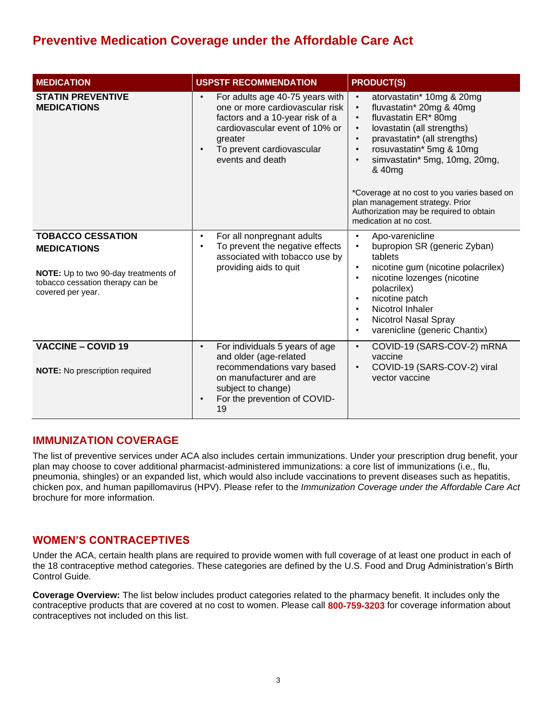| <b>MEDICATION</b>                                                                                                                               | <b>USPSTF RECOMMENDATION</b>                                                                                                                                                                                                  | <b>PRODUCT(S)</b>                                                                                                                                                                                                                                                                                                                                                                                                                                                    |  |  |
|-------------------------------------------------------------------------------------------------------------------------------------------------|-------------------------------------------------------------------------------------------------------------------------------------------------------------------------------------------------------------------------------|----------------------------------------------------------------------------------------------------------------------------------------------------------------------------------------------------------------------------------------------------------------------------------------------------------------------------------------------------------------------------------------------------------------------------------------------------------------------|--|--|
| <b>STATIN PREVENTIVE</b><br><b>MEDICATIONS</b>                                                                                                  | For adults age 40-75 years with<br>$\bullet$<br>one or more cardiovascular risk<br>factors and a 10-year risk of a<br>cardiovascular event of 10% or<br>greater<br>To prevent cardiovascular<br>$\bullet$<br>events and death | atorvastatin* 10mg & 20mg<br>$\bullet$<br>fluvastatin* 20mg & 40mg<br>$\bullet$<br>fluvastatin ER* 80mg<br>$\bullet$<br>lovastatin (all strengths)<br>$\bullet$<br>pravastatin* (all strengths)<br>$\bullet$<br>rosuvastatin* 5mg & 10mg<br>$\bullet$<br>simvastatin* 5mg, 10mg, 20mg,<br>$\bullet$<br>& 40mg<br>*Coverage at no cost to you varies based on<br>plan management strategy. Prior<br>Authorization may be required to obtain<br>medication at no cost. |  |  |
| <b>TOBACCO CESSATION</b><br><b>MEDICATIONS</b><br>NOTE: Up to two 90-day treatments of<br>tobacco cessation therapy can be<br>covered per year. | For all nonpregnant adults<br>$\bullet$<br>To prevent the negative effects<br>$\bullet$<br>associated with tobacco use by<br>providing aids to quit                                                                           | Apo-varenicline<br>$\bullet$<br>bupropion SR (generic Zyban)<br>$\bullet$<br>tablets<br>nicotine gum (nicotine polacrilex)<br>$\bullet$<br>nicotine lozenges (nicotine<br>$\bullet$<br>polacrilex)<br>nicotine patch<br>$\bullet$<br>Nicotrol Inhaler<br>$\bullet$<br>Nicotrol Nasal Spray<br>$\bullet$<br>varenicline (generic Chantix)<br>$\bullet$                                                                                                                |  |  |
| <b>VACCINE - COVID 19</b><br><b>NOTE:</b> No prescription required                                                                              | For individuals 5 years of age<br>$\bullet$<br>and older (age-related<br>recommendations vary based<br>on manufacturer and are<br>subject to change)<br>For the prevention of COVID-<br>$\bullet$<br>19                       | COVID-19 (SARS-COV-2) mRNA<br>$\bullet$<br>vaccine<br>COVID-19 (SARS-COV-2) viral<br>$\bullet$<br>vector vaccine                                                                                                                                                                                                                                                                                                                                                     |  |  |

#### **IMMUNIZATION COVERAGE**

The list of preventive services under ACA also includes certain immunizations. Under your prescription drug benefit, your plan may choose to cover additional pharmacist-administered immunizations: a core list of immunizations (i.e., flu, pneumonia, shingles) or an expanded list, which would also include vaccinations to prevent diseases such as hepatitis, chicken pox, and human papillomavirus (HPV). Please refer to the *Immunization Coverage under the Affordable Care Act* brochure for more information.

#### **WOMEN'S CONTRACEPTIVES**

Under the ACA, certain health plans are required to provide women with full coverage of at least one product in each of the 18 contraceptive method categories. These categories are defined by the U.S. Food and Drug Administration's Birth Control Guide.

**Coverage Overview:** The list below includes product categories related to the pharmacy benefit. It includes only the contraceptive products that are covered at no cost to women. Please call **800-759-3203** for coverage information about contraceptives not included on this list.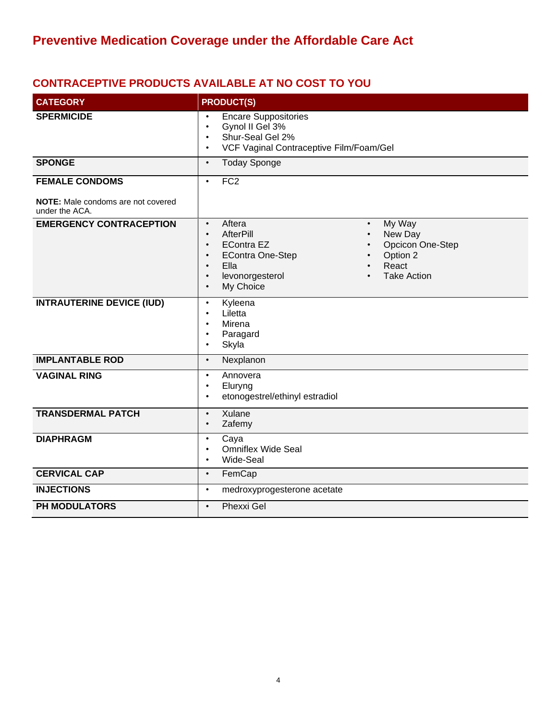## **CONTRACEPTIVE PRODUCTS AVAILABLE AT NO COST TO YOU**

| <b>CATEGORY</b>                                                                      | <b>PRODUCT(S)</b>                                                                                                                                                                                                                                                                                              |  |  |  |  |
|--------------------------------------------------------------------------------------|----------------------------------------------------------------------------------------------------------------------------------------------------------------------------------------------------------------------------------------------------------------------------------------------------------------|--|--|--|--|
| <b>SPERMICIDE</b>                                                                    | <b>Encare Suppositories</b><br>$\bullet$<br>Gynol II Gel 3%<br>$\bullet$<br>Shur-Seal Gel 2%<br>$\bullet$<br>VCF Vaginal Contraceptive Film/Foam/Gel<br>$\bullet$                                                                                                                                              |  |  |  |  |
| <b>SPONGE</b>                                                                        | <b>Today Sponge</b><br>$\bullet$                                                                                                                                                                                                                                                                               |  |  |  |  |
| <b>FEMALE CONDOMS</b><br><b>NOTE:</b> Male condoms are not covered<br>under the ACA. | FC2<br>$\bullet$                                                                                                                                                                                                                                                                                               |  |  |  |  |
| <b>EMERGENCY CONTRACEPTION</b>                                                       | Aftera<br>My Way<br>$\bullet$<br>$\bullet$<br><b>AfterPill</b><br>New Day<br>$\bullet$<br>Opcicon One-Step<br><b>EContra EZ</b><br>$\bullet$<br>Option 2<br><b>EContra One-Step</b><br>$\bullet$<br>Ella<br>React<br>$\bullet$<br>levonorgesterol<br><b>Take Action</b><br>$\bullet$<br>My Choice<br>$\bullet$ |  |  |  |  |
| <b>INTRAUTERINE DEVICE (IUD)</b>                                                     | Kyleena<br>$\bullet$<br>Liletta<br>$\bullet$<br>Mirena<br>$\bullet$<br>Paragard<br>$\bullet$<br>Skyla<br>$\bullet$                                                                                                                                                                                             |  |  |  |  |
| <b>IMPLANTABLE ROD</b>                                                               | Nexplanon<br>$\bullet$                                                                                                                                                                                                                                                                                         |  |  |  |  |
| <b>VAGINAL RING</b>                                                                  | Annovera<br>$\bullet$<br>Eluryng<br>$\bullet$<br>etonogestrel/ethinyl estradiol<br>$\bullet$                                                                                                                                                                                                                   |  |  |  |  |
| <b>TRANSDERMAL PATCH</b>                                                             | Xulane<br>$\bullet$<br>Zafemy<br>$\bullet$                                                                                                                                                                                                                                                                     |  |  |  |  |
| <b>DIAPHRAGM</b>                                                                     | Caya<br>$\bullet$<br><b>Omniflex Wide Seal</b><br>$\bullet$<br>Wide-Seal<br>$\bullet$                                                                                                                                                                                                                          |  |  |  |  |
| <b>CERVICAL CAP</b>                                                                  | FemCap<br>$\bullet$                                                                                                                                                                                                                                                                                            |  |  |  |  |
| <b>INJECTIONS</b>                                                                    | $\bullet$<br>medroxyprogesterone acetate                                                                                                                                                                                                                                                                       |  |  |  |  |
| PH MODULATORS                                                                        | Phexxi Gel<br>$\bullet$                                                                                                                                                                                                                                                                                        |  |  |  |  |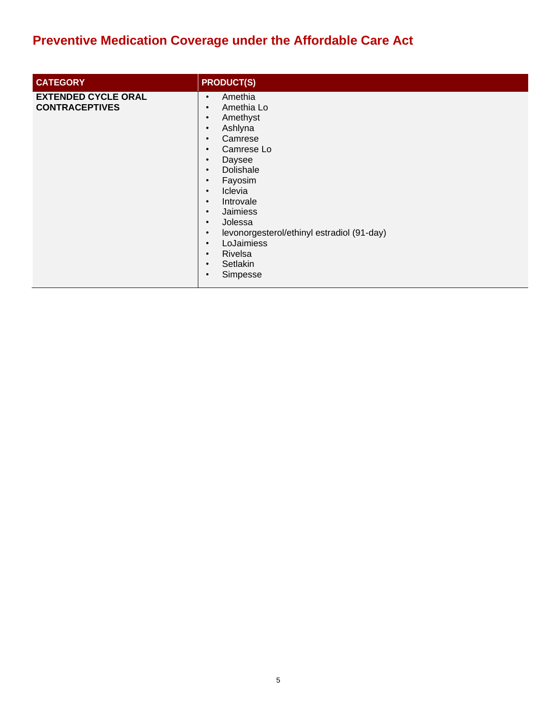| <b>CATEGORY</b>                                     | <b>PRODUCT(S)</b>                                                                                                                                                                                                                                                                                                                                                                                                                                                                               |
|-----------------------------------------------------|-------------------------------------------------------------------------------------------------------------------------------------------------------------------------------------------------------------------------------------------------------------------------------------------------------------------------------------------------------------------------------------------------------------------------------------------------------------------------------------------------|
| <b>EXTENDED CYCLE ORAL</b><br><b>CONTRACEPTIVES</b> | Amethia<br>$\bullet$<br>Amethia Lo<br>$\bullet$<br>Amethyst<br>$\bullet$<br>Ashlyna<br>$\bullet$<br>Camrese<br>$\bullet$<br>Camrese Lo<br>$\bullet$<br>Daysee<br>$\bullet$<br>Dolishale<br>$\bullet$<br>Fayosim<br>$\bullet$<br>Iclevia<br>$\bullet$<br>Introvale<br>$\bullet$<br>Jaimiess<br>$\bullet$<br>Jolessa<br>$\bullet$<br>levonorgesterol/ethinyl estradiol (91-day)<br>$\bullet$<br>LoJaimiess<br>$\bullet$<br>Rivelsa<br>$\bullet$<br>Setlakin<br>$\bullet$<br>Simpesse<br>$\bullet$ |